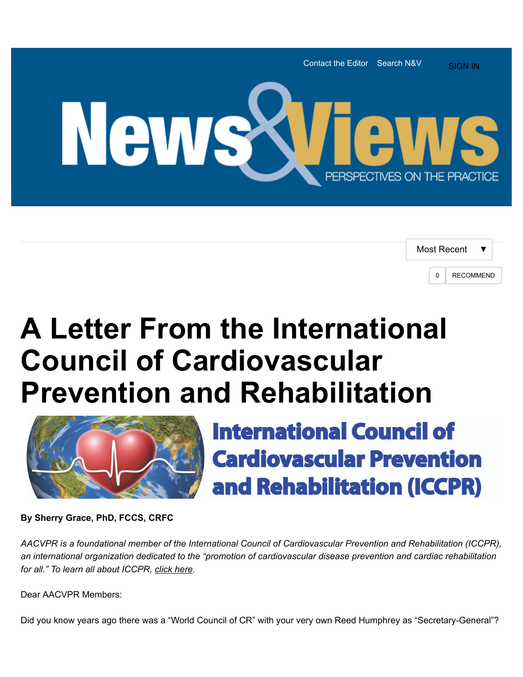

| Most Recent |   |                  |
|-------------|---|------------------|
|             | U | <b>RECOMMEND</b> |

## **A Letter From the International Council of Cardiovascular Prevention and Rehabilitation**



**International Council of Cardiovascular Prevention** and Rehabilitation (ICCPR)

**By Sherry Grace, PhD, FCCS, CRFC**

*AACVPR is a foundational member of the International Council of Cardiovascular Prevention and Rehabilitation (ICCPR), an international organization dedicated to the "promotion of cardiovascular disease prevention and cardiac rehabilitation for all." To learn all about ICCPR, [click here](http://globalcardiacrehab.com/).*

Dear AACVPR Members:

Did you know years ago there was a "World Council of CR" with your very own Reed Humphrey as "Secretary-General"?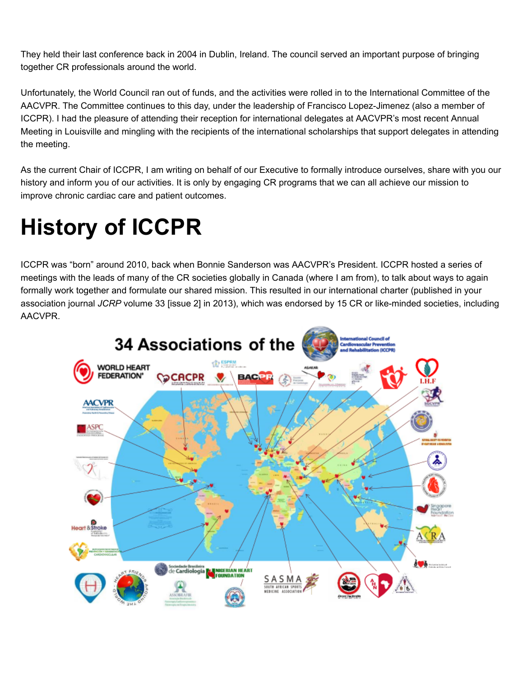They held their last conference back in 2004 in Dublin, Ireland. The council served an important purpose of bringing together CR professionals around the world.

Unfortunately, the World Council ran out of funds, and the activities were rolled in to the International Committee of the AACVPR. The Committee continues to this day, under the leadership of Francisco Lopez-Jimenez (also a member of ICCPR). I had the pleasure of attending their reception for international delegates at AACVPR's most recent Annual Meeting in Louisville and mingling with the recipients of the international scholarships that support delegates in attending the meeting.

As the current Chair of ICCPR, I am writing on behalf of our Executive to formally introduce ourselves, share with you our history and inform you of our activities. It is only by engaging CR programs that we can all achieve our mission to improve chronic cardiac care and patient outcomes.

## **History of ICCPR**

ICCPR was "born" around 2010, back when Bonnie Sanderson was AACVPR's President. ICCPR hosted a series of meetings with the leads of many of the CR societies globally in Canada (where I am from), to talk about ways to again formally work together and formulate our shared mission. This resulted in our international charter (published in your association journal *JCRP* volume 33 [issue 2] in 2013), which was endorsed by 15 CR or like-minded societies, including AACVPR.

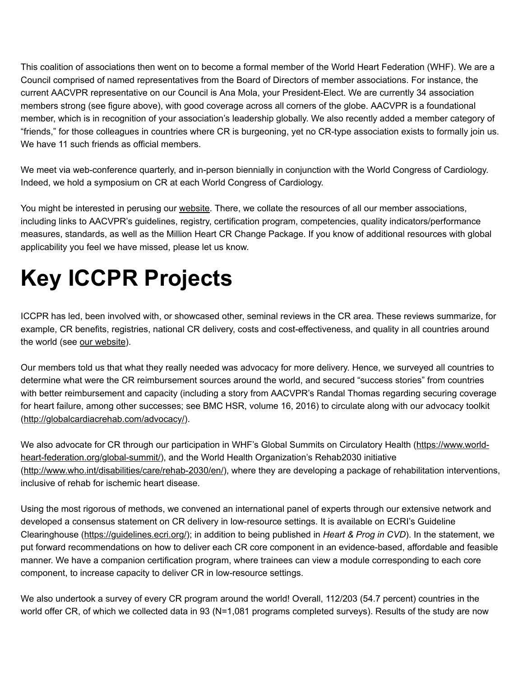This coalition of associations then went on to become a formal member of the World Heart Federation (WHF). We are a Council comprised of named representatives from the Board of Directors of member associations. For instance, the current AACVPR representative on our Council is Ana Mola, your President-Elect. We are currently 34 association members strong (see figure above), with good coverage across all corners of the globe. AACVPR is a foundational member, which is in recognition of your association's leadership globally. We also recently added a member category of "friends," for those colleagues in countries where CR is burgeoning, yet no CR-type association exists to formally join us. We have 11 such friends as official members.

We meet via web-conference quarterly, and in-person biennially in conjunction with the World Congress of Cardiology. Indeed, we hold a symposium on CR at each World Congress of Cardiology.

You might be interested in perusing our [website](http://www.globalcardiacrehab.com/). There, we collate the resources of all our member associations, including links to AACVPR's guidelines, registry, certification program, competencies, quality indicators/performance measures, standards, as well as the Million Heart CR Change Package. If you know of additional resources with global applicability you feel we have missed, please let us know.

## **Key ICCPR Projects**

ICCPR has led, been involved with, or showcased other, seminal reviews in the CR area. These reviews summarize, for example, CR benefits, registries, national CR delivery, costs and cost-effectiveness, and quality in all countries around the world (see [our website\)](http://globalcardiacrehab.com/).

Our members told us that what they really needed was advocacy for more delivery. Hence, we surveyed all countries to determine what were the CR reimbursement sources around the world, and secured "success stories" from countries with better reimbursement and capacity (including a story from AACVPR's Randal Thomas regarding securing coverage for heart failure, among other successes; see BMC HSR, volume 16, 2016) to circulate along with our advocacy toolkit ([http://globalcardiacrehab.com/advocacy/\)](http://globalcardiacrehab.com/advocacy/).

[We also advocate for CR through our participation in WHF's Global Summits on Circulatory Health \(https://www.world](https://www.world-heart-federation.org/global-summit/)heart-federation.org/global-summit/), and the World Health Organization's Rehab2030 initiative (<http://www.who.int/disabilities/care/rehab-2030/en/>), where they are developing a package of rehabilitation interventions, inclusive of rehab for ischemic heart disease.

Using the most rigorous of methods, we convened an international panel of experts through our extensive network and developed a consensus statement on CR delivery in low-resource settings. It is available on ECRI's Guideline Clearinghouse [\(https://guidelines.ecri.org/](https://guidelines.ecri.org/)); in addition to being published in *Heart & Prog in CVD*). In the statement, we put forward recommendations on how to deliver each CR core component in an evidence-based, affordable and feasible manner. We have a companion certification program, where trainees can view a module corresponding to each core component, to increase capacity to deliver CR in low-resource settings.

We also undertook a survey of every CR program around the world! Overall, 112/203 (54.7 percent) countries in the world offer CR, of which we collected data in 93 (N=1,081 programs completed surveys). Results of the study are now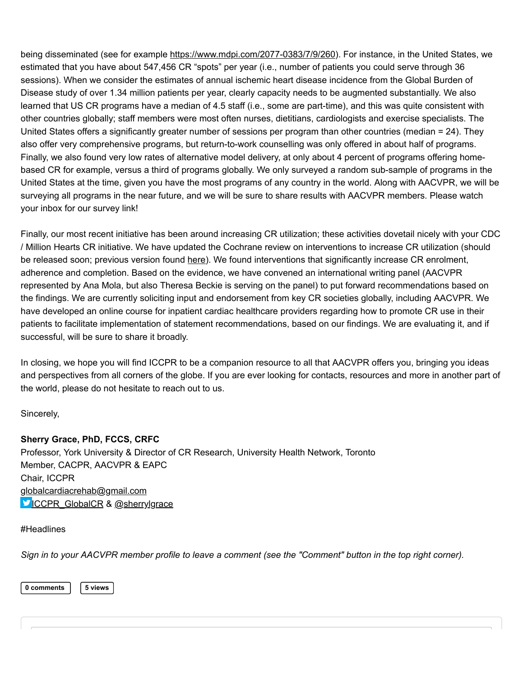being disseminated (see for example [https://www.mdpi.com/2077-0383/7/9/260\)](https://www.mdpi.com/2077-0383/7/9/260). For instance, in the United States, we estimated that you have about 547,456 CR "spots" per year (i.e., number of patients you could serve through 36 sessions). When we consider the estimates of annual ischemic heart disease incidence from the Global Burden of Disease study of over 1.34 million patients per year, clearly capacity needs to be augmented substantially. We also learned that US CR programs have a median of 4.5 staff (i.e., some are part-time), and this was quite consistent with other countries globally; staff members were most often nurses, dietitians, cardiologists and exercise specialists. The United States offers a significantly greater number of sessions per program than other countries (median = 24). They also offer very comprehensive programs, but return-to-work counselling was only offered in about half of programs. Finally, we also found very low rates of alternative model delivery, at only about 4 percent of programs offering homebased CR for example, versus a third of programs globally. We only surveyed a random sub-sample of programs in the United States at the time, given you have the most programs of any country in the world. Along with AACVPR, we will be surveying all programs in the near future, and we will be sure to share results with AACVPR members. Please watch your inbox for our survey link!

Finally, our most recent initiative has been around increasing CR utilization; these activities dovetail nicely with your CDC / Million Hearts CR initiative. We have updated the Cochrane review on interventions to increase CR utilization (should be released soon; previous version found [here](https://www.cochranelibrary.com/cdsr/doi/10.1002/14651858.CD007131.pub3/media/CDSR/CD007131/CD007131_standard.pdf)). We found interventions that significantly increase CR enrolment, adherence and completion. Based on the evidence, we have convened an international writing panel (AACVPR represented by Ana Mola, but also Theresa Beckie is serving on the panel) to put forward recommendations based on the findings. We are currently soliciting input and endorsement from key CR societies globally, including AACVPR. We have developed an online course for inpatient cardiac healthcare providers regarding how to promote CR use in their patients to facilitate implementation of statement recommendations, based on our findings. We are evaluating it, and if successful, will be sure to share it broadly.

In closing, we hope you will find ICCPR to be a companion resource to all that AACVPR offers you, bringing you ideas and perspectives from all corners of the globe. If you are ever looking for contacts, resources and more in another part of the world, please do not hesitate to reach out to us.

Sincerely,

## **Sherry Grace, PhD, FCCS, CRFC**

Professor, York University & Director of CR Research, University Health Network, Toronto Member, CACPR, AACVPR & EAPC Chair, ICCPR [globalcardiacrehab@gmail.com](mailto:globalcardiacrehab@gmail.com) CCPR\_GlobalCR & [@sherrylgrace](https://twitter.com/sherrylgrace?lang=en)

[#Headlines](http://newsandviews.aacvpr.org/search?s=%23Headlines&executesearch=true)

*Sign in to your AACVPR member profile to leave a comment (see the "Comment" button in the top right corner).* 

**0 comments | 5 views**